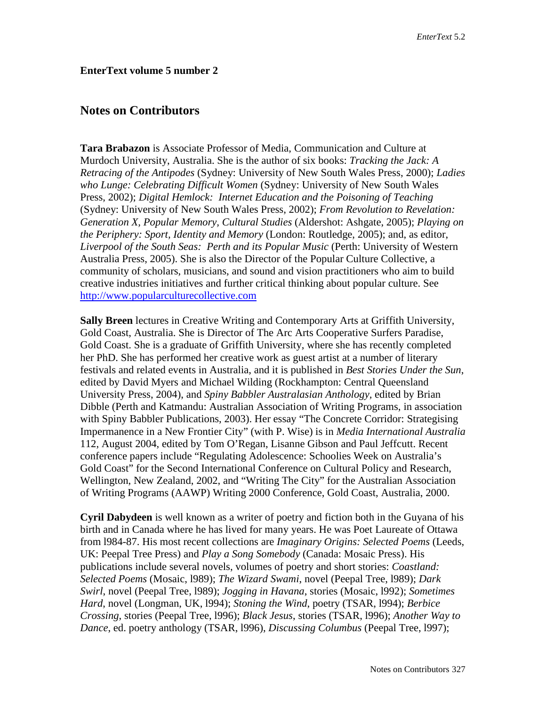## **EnterText volume 5 number 2**

## **Notes on Contributors**

**Tara Brabazon** is Associate Professor of Media, Communication and Culture at Murdoch University, Australia. She is the author of six books: *Tracking the Jack: A Retracing of the Antipodes* (Sydney: University of New South Wales Press, 2000); *Ladies who Lunge: Celebrating Difficult Women* (Sydney: University of New South Wales Press, 2002); *Digital Hemlock: Internet Education and the Poisoning of Teaching* (Sydney: University of New South Wales Press, 2002); *From Revolution to Revelation: Generation X, Popular Memory, Cultural Studies* (Aldershot: Ashgate, 2005); *Playing on the Periphery: Sport, Identity and Memory* (London: Routledge, 2005); and, as editor, *Liverpool of the South Seas: Perth and its Popular Music* (Perth: University of Western Australia Press, 2005). She is also the Director of the Popular Culture Collective, a community of scholars, musicians, and sound and vision practitioners who aim to build creative industries initiatives and further critical thinking about popular culture. See [http://www.popularculturecollective.com](http://www.popularculturecollective.com/)

**Sally Breen** lectures in Creative Writing and Contemporary Arts at Griffith University, Gold Coast, Australia. She is Director of The Arc Arts Cooperative Surfers Paradise, Gold Coast. She is a graduate of Griffith University, where she has recently completed her PhD. She has performed her creative work as guest artist at a number of literary festivals and related events in Australia, and it is published in *Best Stories Under the Sun*, edited by David Myers and Michael Wilding (Rockhampton: Central Queensland University Press, 2004), and *Spiny Babbler Australasian Anthology,* edited by Brian Dibble (Perth and Katmandu: Australian Association of Writing Programs, in association with Spiny Babbler Publications, 2003). Her essay "The Concrete Corridor: Strategising Impermanence in a New Frontier City" (with P. Wise) is in *Media International Australia* 112, August 2004, edited by Tom O'Regan, Lisanne Gibson and Paul Jeffcutt. Recent conference papers include "Regulating Adolescence: Schoolies Week on Australia's Gold Coast" for the Second International Conference on Cultural Policy and Research, Wellington, New Zealand, 2002, and "Writing The City" for the Australian Association of Writing Programs (AAWP) Writing 2000 Conference, Gold Coast, Australia, 2000.

**Cyril Dabydeen** is well known as a writer of poetry and fiction both in the Guyana of his birth and in Canada where he has lived for many years. He was Poet Laureate of Ottawa from l984-87. His most recent collections are *Imaginary Origins: Selected Poems* (Leeds, UK: Peepal Tree Press) and *Play a Song Somebody* (Canada: Mosaic Press). His publications include several novels, volumes of poetry and short stories: *Coastland: Selected Poems* (Mosaic, l989); *The Wizard Swami*, novel (Peepal Tree, l989); *Dark Swirl*, novel (Peepal Tree, l989); *Jogging in Havana*, stories (Mosaic, l992); *Sometimes Hard*, novel (Longman, UK, l994); *Stoning the Wind*, poetry (TSAR, l994); *Berbice Crossing*, stories (Peepal Tree, l996); *Black Jesus*, stories (TSAR, l996); *Another Way to Dance*, ed. poetry anthology (TSAR, l996), *Discussing Columbus* (Peepal Tree, l997);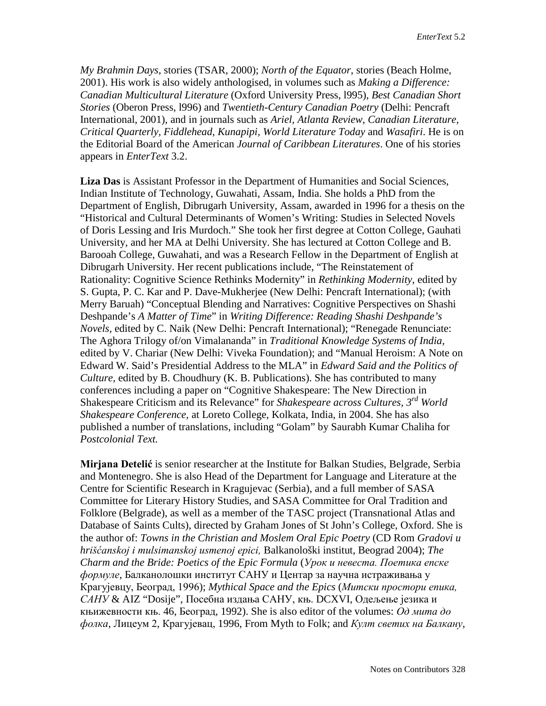*My Brahmin Days*, stories (TSAR, 2000); *North of the Equator*, stories (Beach Holme, 2001). His work is also widely anthologised, in volumes such as *Making a Difference: Canadian Multicultural Literature* (Oxford University Press, l995), *Best Canadian Short Stories* (Oberon Press, l996) and *Twentieth-Century Canadian Poetry* (Delhi: Pencraft International, 2001), and in journals such as *Ariel, Atlanta Review, Canadian Literature, Critical Quarterly, Fiddlehead, Kunapipi, World Literature Today* and *Wasafiri*. He is on the Editorial Board of the American *Journal of Caribbean Literatures*. One of his stories appears in *EnterText* 3.2.

**Liza Das** is Assistant Professor in the Department of Humanities and Social Sciences, Indian Institute of Technology, Guwahati, Assam, India. She holds a PhD from the Department of English, Dibrugarh University, Assam, awarded in 1996 for a thesis on the "Historical and Cultural Determinants of Women's Writing: Studies in Selected Novels of Doris Lessing and Iris Murdoch." She took her first degree at Cotton College, Gauhati University, and her MA at Delhi University. She has lectured at Cotton College and B. Barooah College, Guwahati, and was a Research Fellow in the Department of English at Dibrugarh University. Her recent publications include, "The Reinstatement of Rationality: Cognitive Science Rethinks Modernity" in *Rethinking Modernity*, edited by S. Gupta, P. C. Kar and P. Dave-Mukherjee (New Delhi: Pencraft International); (with Merry Baruah) "Conceptual Blending and Narratives: Cognitive Perspectives on Shashi Deshpande's *A Matter of Time*" in *Writing Difference: Reading Shashi Deshpande's Novels,* edited by C. Naik (New Delhi: Pencraft International); "Renegade Renunciate: The Aghora Trilogy of/on Vimalananda" in *Traditional Knowledge Systems of India,* edited by V. Chariar (New Delhi: Viveka Foundation); and "Manual Heroism: A Note on Edward W. Said's Presidential Address to the MLA" in *Edward Said and the Politics of Culture,* edited by B. Choudhury (K. B. Publications). She has contributed to many conferences including a paper on "Cognitive Shakespeare: The New Direction in Shakespeare Criticism and its Relevance" for *Shakespeare across Cultures, 3rd World Shakespeare Conference,* at Loreto College, Kolkata, India, in 2004. She has also published a number of translations, including "Golam" by Saurabh Kumar Chaliha for *Postcolonial Text.*

**Mirjana Detelić** is senior researcher at the Institute for Balkan Studies, Belgrade, Serbia and Montenegro. She is also Head of the Department for Language and Literature at the Centre for Scientific Research in Kragujevac (Serbia), and a full member of SASA Committee for Literary History Studies, and SASA Committee for Oral Tradition and Folklore (Belgrade), as well as a member of the TASC project (Transnational Atlas and Database of Saints Cults), directed by Graham Jones of St John's College, Oxford. She is the author of: *Towns in the Christian and Moslem Oral Epic Poetry* (CD Rom *Gradovi u hrišćanskoj i mulsimanskoj usmenoj epici,* Balkanološki institut, Beograd 2004); *The Charm and the Bride: Poetics of the Epic Formula* (*Урок и невеста. Поетика епске формуле*, Балканолошки институт САНУ и Центар за научна истраживања у Крагујевцу, Београд, 1996); *Mythical Space and the Epics* (*Митски простори епика, САНУ* & AIZ "Dosije", Посебна издања САНУ, књ. DCXVI, Одељење језика и књижевности књ. 46, Београд, 1992). She is also editor of the volumes: *Од мита до фолка*, Лицеум 2, Крагујевац, 1996, From Myth to Folk; and *Култ светих на Балкану*,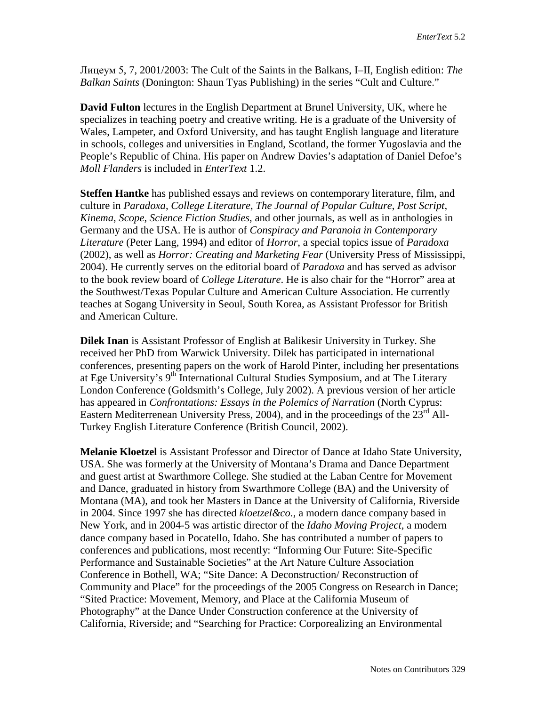Лицеум 5, 7, 2001/2003: The Cult of the Saints in the Balkans, I–II, English edition: *The Balkan Saints* (Donington: Shaun Tyas Publishing) in the series "Cult and Culture."

**David Fulton** lectures in the English Department at Brunel University, UK, where he specializes in teaching poetry and creative writing. He is a graduate of the University of Wales, Lampeter, and Oxford University, and has taught English language and literature in schools, colleges and universities in England, Scotland, the former Yugoslavia and the People's Republic of China. His paper on Andrew Davies's adaptation of Daniel Defoe's *Moll Flanders* is included in *EnterText* 1.2.

**Steffen Hantke** has published essays and reviews on contemporary literature, film, and culture in *Paradoxa*, *College Literature*, *The Journal of Popular Culture*, *Post Script*, *Kinema*, *Scope*, *Science Fiction Studies*, and other journals, as well as in anthologies in Germany and the USA. He is author of *Conspiracy and Paranoia in Contemporary Literature* (Peter Lang, 1994) and editor of *Horror*, a special topics issue of *Paradoxa* (2002), as well as *Horror: Creating and Marketing Fear* (University Press of Mississippi, 2004). He currently serves on the editorial board of *Paradoxa* and has served as advisor to the book review board of *College Literature*. He is also chair for the "Horror" area at the Southwest/Texas Popular Culture and American Culture Association. He currently teaches at Sogang University in Seoul, South Korea, as Assistant Professor for British and American Culture.

**Dilek Inan** is Assistant Professor of English at Balikesir University in Turkey. She received her PhD from Warwick University. Dilek has participated in international conferences, presenting papers on the work of Harold Pinter, including her presentations at Ege University's  $9<sup>th</sup>$  International Cultural Studies Symposium, and at The Literary London Conference (Goldsmith's College, July 2002). A previous version of her article has appeared in *Confrontations: Essays in the Polemics of Narration* (North Cyprus: Eastern Mediterrenean University Press, 2004), and in the proceedings of the 23<sup>rd</sup> All-Turkey English Literature Conference (British Council, 2002).

**Melanie Kloetzel** is Assistant Professor and Director of Dance at Idaho State University, USA. She was formerly at the University of Montana's Drama and Dance Department and guest artist at Swarthmore College. She studied at the Laban Centre for Movement and Dance, graduated in history from Swarthmore College (BA) and the University of Montana (MA), and took her Masters in Dance at the University of California, Riverside in 2004. Since 1997 she has directed *kloetzel&co.*, a modern dance company based in New York, and in 2004-5 was artistic director of the *Idaho Moving Project*, a modern dance company based in Pocatello, Idaho. She has contributed a number of papers to conferences and publications, most recently: "Informing Our Future: Site-Specific Performance and Sustainable Societies" at the Art Nature Culture Association Conference in Bothell, WA; "Site Dance: A Deconstruction/ Reconstruction of Community and Place" for the proceedings of the 2005 Congress on Research in Dance; "Sited Practice: Movement, Memory, and Place at the California Museum of Photography" at the Dance Under Construction conference at the University of California, Riverside; and "Searching for Practice: Corporealizing an Environmental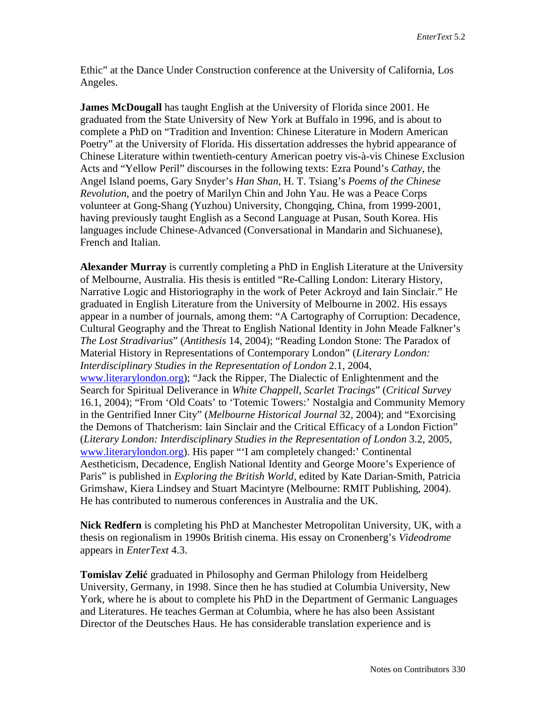Ethic" at the Dance Under Construction conference at the University of California, Los Angeles.

**James McDougall** has taught English at the University of Florida since 2001. He graduated from the State University of New York at Buffalo in 1996, and is about to complete a PhD on "Tradition and Invention: Chinese Literature in Modern American Poetry" at the University of Florida. His dissertation addresses the hybrid appearance of Chinese Literature within twentieth-century American poetry vis-à-vis Chinese Exclusion Acts and "Yellow Peril" discourses in the following texts: Ezra Pound's *Cathay*, the Angel Island poems, Gary Snyder's *Han Shan*, H. T. Tsiang's *Poems of the Chinese Revolution*, and the poetry of Marilyn Chin and John Yau. He was a Peace Corps volunteer at Gong-Shang (Yuzhou) University, Chongqing, China, from 1999-2001, having previously taught English as a Second Language at Pusan, South Korea. His languages include Chinese-Advanced (Conversational in Mandarin and Sichuanese), French and Italian.

**Alexander Murray** is currently completing a PhD in English Literature at the University of Melbourne, Australia. His thesis is entitled "Re-Calling London: Literary History, Narrative Logic and Historiography in the work of Peter Ackroyd and Iain Sinclair." He graduated in English Literature from the University of Melbourne in 2002. His essays appear in a number of journals, among them: "A Cartography of Corruption: Decadence, Cultural Geography and the Threat to English National Identity in John Meade Falkner's *The Lost Stradivarius*" (*Antithesis* 14, 2004); "Reading London Stone: The Paradox of Material History in Representations of Contemporary London" (*Literary London: Interdisciplinary Studies in the Representation of London* 2.1, 2004, [www.literarylondon.org\)](http://www.literarylondon.org/); "Jack the Ripper, The Dialectic of Enlightenment and the Search for Spiritual Deliverance in *White Chappell, Scarlet Tracings*" (*Critical Survey*  16.1, 2004); "From 'Old Coats' to 'Totemic Towers:' Nostalgia and Community Memory in the Gentrified Inner City" (*Melbourne Historical Journal* 32, 2004); and "Exorcising the Demons of Thatcherism: Iain Sinclair and the Critical Efficacy of a London Fiction" (*Literary London: Interdisciplinary Studies in the Representation of London* 3.2, 2005, [www.literarylondon.org\)](http://www.literarylondon.org/). His paper "'I am completely changed:' Continental Aestheticism, Decadence, English National Identity and George Moore's Experience of Paris" is published in *Exploring the British World*, edited by Kate Darian-Smith, Patricia Grimshaw, Kiera Lindsey and Stuart Macintyre (Melbourne: RMIT Publishing, 2004). He has contributed to numerous conferences in Australia and the UK.

**Nick Redfern** is completing his PhD at Manchester Metropolitan University, UK, with a thesis on regionalism in 1990s British cinema. His essay on Cronenberg's *Videodrome* appears in *EnterText* 4.3.

**Tomislav Zelić** graduated in Philosophy and German Philology from Heidelberg University, Germany, in 1998. Since then he has studied at Columbia University, New York, where he is about to complete his PhD in the Department of Germanic Languages and Literatures. He teaches German at Columbia, where he has also been Assistant Director of the Deutsches Haus. He has considerable translation experience and is